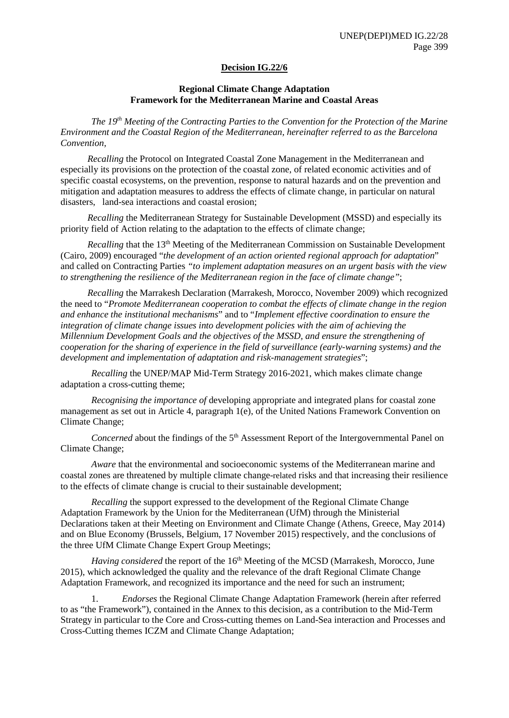#### **Decision IG.22/6**

#### **Regional Climate Change Adaptation Framework for the Mediterranean Marine and Coastal Areas**

*The 19th Meeting of the Contracting Parties to the Convention for the Protection of the Marine Environment and the Coastal Region of the Mediterranean, hereinafter referred to as the Barcelona Convention,*

*Recalling* the Protocol on Integrated Coastal Zone Management in the Mediterranean and especially its provisions on the protection of the coastal zone, of related economic activities and of specific coastal ecosystems, on the prevention, response to natural hazards and on the prevention and mitigation and adaptation measures to address the effects of climate change, in particular on natural disasters, land-sea interactions and coastal erosion;

*Recalling* the Mediterranean Strategy for Sustainable Development (MSSD) and especially its priority field of Action relating to the adaptation to the effects of climate change;

*Recalling* that the 13<sup>th</sup> Meeting of the Mediterranean Commission on Sustainable Development (Cairo, 2009) encouraged "*the development of an action oriented regional approach for adaptation*" and called on Contracting Parties *"to implement adaptation measures on an urgent basis with the view to strengthening the resilience of the Mediterranean region in the face of climate change"*;

*Recalling* the Marrakesh Declaration (Marrakesh, Morocco, November 2009) which recognized the need to "*Promote Mediterranean cooperation to combat the effects of climate change in the region and enhance the institutional mechanisms*" and to "*Implement effective coordination to ensure the integration of climate change issues into development policies with the aim of achieving the Millennium Development Goals and the objectives of the MSSD, and ensure the strengthening of cooperation for the sharing of experience in the field of surveillance (early-warning systems) and the development and implementation of adaptation and risk-management strategies*";

*Recalling* the UNEP/MAP Mid-Term Strategy 2016-2021, which makes climate change adaptation a cross-cutting theme;

*Recognising the importance of* developing appropriate and integrated plans for coastal zone management as set out in Article 4, paragraph 1(e), of the United Nations Framework Convention on Climate Change;

*Concerned* about the findings of the 5<sup>th</sup> Assessment Report of the Intergovernmental Panel on Climate Change;

*Aware* that the environmental and socioeconomic systems of the Mediterranean marine and coastal zones are threatened by multiple climate change-related risks and that increasing their resilience to the effects of climate change is crucial to their sustainable development;

*Recalling* the support expressed to the development of the Regional Climate Change Adaptation Framework by the Union for the Mediterranean (UfM) through the Ministerial Declarations taken at their Meeting on Environment and Climate Change (Athens, Greece, May 2014) and on Blue Economy (Brussels, Belgium, 17 November 2015) respectively, and the conclusions of the three UfM Climate Change Expert Group Meetings;

*Having considered* the report of the 16<sup>th</sup> Meeting of the MCSD (Marrakesh, Morocco, June 2015), which acknowledged the quality and the relevance of the draft Regional Climate Change Adaptation Framework, and recognized its importance and the need for such an instrument;

1. *Endorses* the Regional Climate Change Adaptation Framework (herein after referred to as "the Framework"), contained in the Annex to this decision, as a contribution to the Mid-Term Strategy in particular to the Core and Cross-cutting themes on Land-Sea interaction and Processes and Cross-Cutting themes ICZM and Climate Change Adaptation;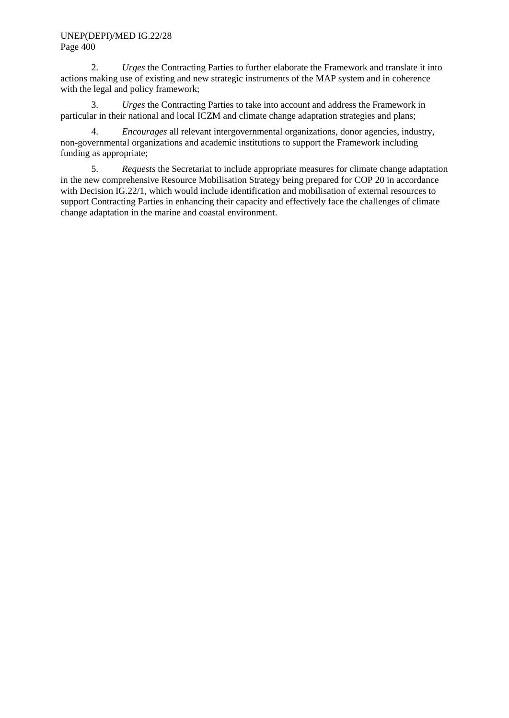## UNEP(DEPI)/MED IG.22/28 Page 400

2. *Urges* the Contracting Parties to further elaborate the Framework and translate it into actions making use of existing and new strategic instruments of the MAP system and in coherence with the legal and policy framework;

3. *Urges* the Contracting Parties to take into account and address the Framework in particular in their national and local ICZM and climate change adaptation strategies and plans;

4. *Encourages* all relevant intergovernmental organizations, donor agencies, industry, non-governmental organizations and academic institutions to support the Framework including funding as appropriate;

5. *Requests* the Secretariat to include appropriate measures for climate change adaptation in the new comprehensive Resource Mobilisation Strategy being prepared for COP 20 in accordance with Decision IG.22/1, which would include identification and mobilisation of external resources to support Contracting Parties in enhancing their capacity and effectively face the challenges of climate change adaptation in the marine and coastal environment.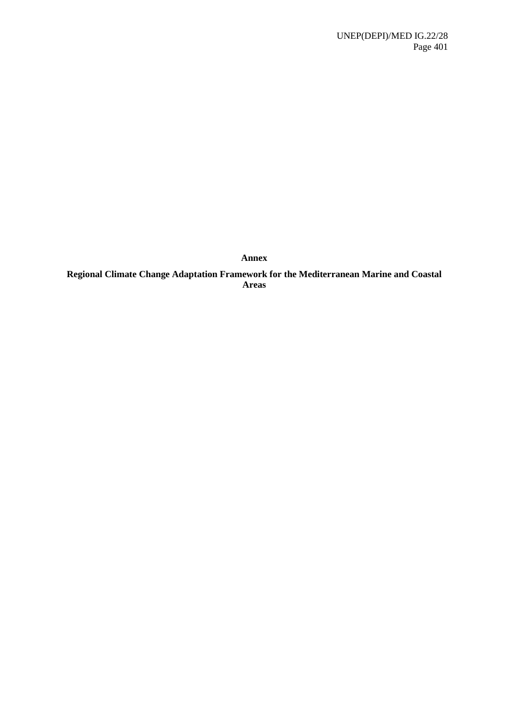**Annex**

**Regional Climate Change Adaptation Framework for the Mediterranean Marine and Coastal Areas**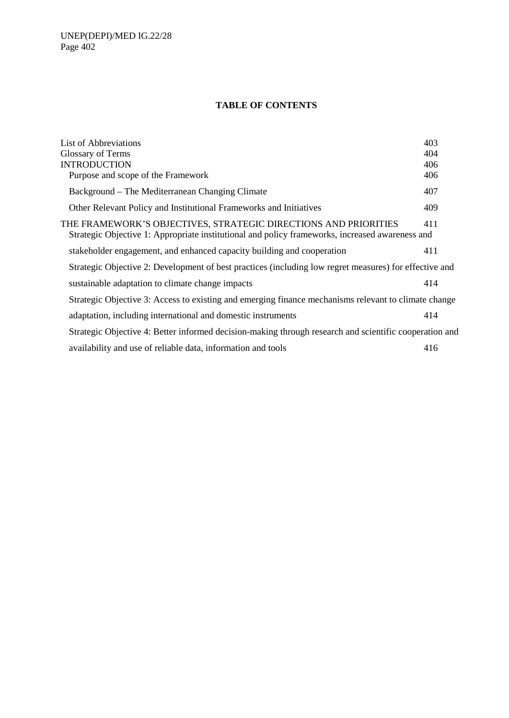# **TABLE OF CONTENTS**

| List of Abbreviations                                                                                                                                              | 403 |
|--------------------------------------------------------------------------------------------------------------------------------------------------------------------|-----|
| Glossary of Terms                                                                                                                                                  | 404 |
| <b>INTRODUCTION</b>                                                                                                                                                | 406 |
| Purpose and scope of the Framework                                                                                                                                 | 406 |
| Background – The Mediterranean Changing Climate                                                                                                                    | 407 |
| Other Relevant Policy and Institutional Frameworks and Initiatives                                                                                                 | 409 |
| THE FRAMEWORK'S OBJECTIVES, STRATEGIC DIRECTIONS AND PRIORITIES<br>Strategic Objective 1: Appropriate institutional and policy frameworks, increased awareness and | 411 |
| stakeholder engagement, and enhanced capacity building and cooperation                                                                                             | 411 |
| Strategic Objective 2: Development of best practices (including low regret measures) for effective and                                                             |     |
| sustainable adaptation to climate change impacts                                                                                                                   | 414 |
| Strategic Objective 3: Access to existing and emerging finance mechanisms relevant to climate change                                                               |     |
| adaptation, including international and domestic instruments                                                                                                       | 414 |
| Strategic Objective 4: Better informed decision-making through research and scientific cooperation and                                                             |     |
| availability and use of reliable data, information and tools                                                                                                       | 416 |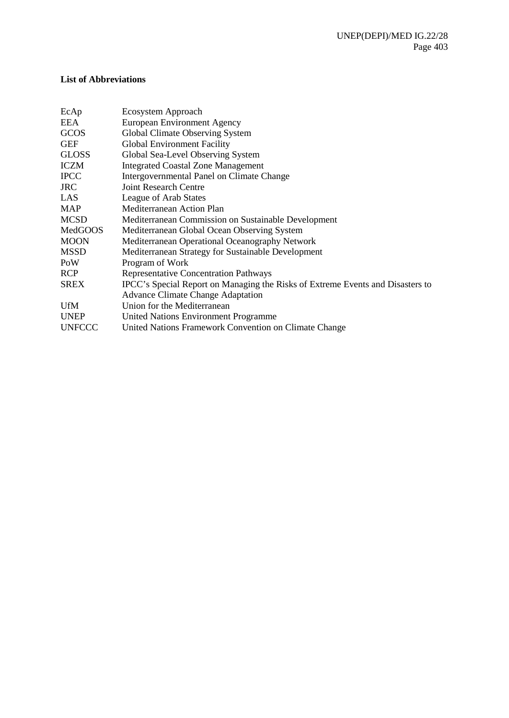## <span id="page-4-0"></span>**List of Abbreviations**

| Ecosystem Approach                                                             |
|--------------------------------------------------------------------------------|
| European Environment Agency                                                    |
| Global Climate Observing System                                                |
| <b>Global Environment Facility</b>                                             |
| Global Sea-Level Observing System                                              |
| <b>Integrated Coastal Zone Management</b>                                      |
| Intergovernmental Panel on Climate Change                                      |
| <b>Joint Research Centre</b>                                                   |
| League of Arab States                                                          |
| Mediterranean Action Plan                                                      |
| Mediterranean Commission on Sustainable Development                            |
| Mediterranean Global Ocean Observing System                                    |
| Mediterranean Operational Oceanography Network                                 |
| Mediterranean Strategy for Sustainable Development                             |
| Program of Work                                                                |
| <b>Representative Concentration Pathways</b>                                   |
| IPCC's Special Report on Managing the Risks of Extreme Events and Disasters to |
| <b>Advance Climate Change Adaptation</b>                                       |
| Union for the Mediterranean                                                    |
| United Nations Environment Programme                                           |
| United Nations Framework Convention on Climate Change                          |
|                                                                                |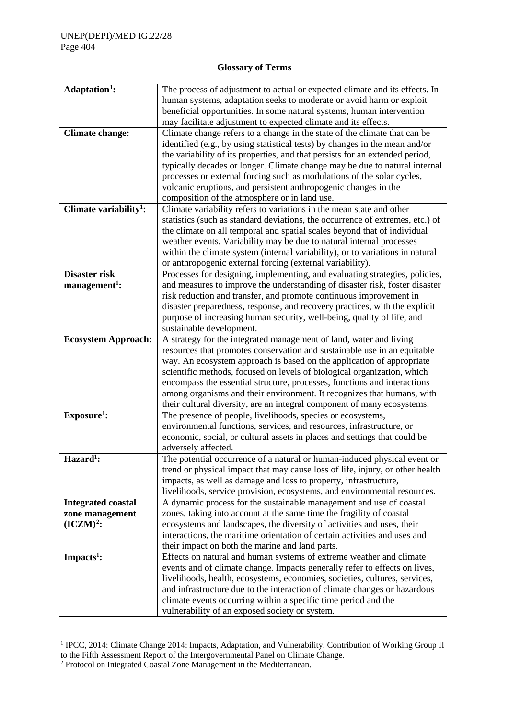# **Glossary of Terms**

<span id="page-5-0"></span>

| Adaptation <sup>1</sup> :          | The process of adjustment to actual or expected climate and its effects. In                                                                         |
|------------------------------------|-----------------------------------------------------------------------------------------------------------------------------------------------------|
|                                    | human systems, adaptation seeks to moderate or avoid harm or exploit                                                                                |
|                                    | beneficial opportunities. In some natural systems, human intervention                                                                               |
|                                    | may facilitate adjustment to expected climate and its effects.                                                                                      |
| <b>Climate change:</b>             | Climate change refers to a change in the state of the climate that can be                                                                           |
|                                    | identified (e.g., by using statistical tests) by changes in the mean and/or                                                                         |
|                                    | the variability of its properties, and that persists for an extended period,                                                                        |
|                                    | typically decades or longer. Climate change may be due to natural internal                                                                          |
|                                    | processes or external forcing such as modulations of the solar cycles,                                                                              |
|                                    | volcanic eruptions, and persistent anthropogenic changes in the                                                                                     |
|                                    | composition of the atmosphere or in land use.                                                                                                       |
| Climate variability <sup>1</sup> : | Climate variability refers to variations in the mean state and other                                                                                |
|                                    | statistics (such as standard deviations, the occurrence of extremes, etc.) of                                                                       |
|                                    | the climate on all temporal and spatial scales beyond that of individual                                                                            |
|                                    | weather events. Variability may be due to natural internal processes                                                                                |
|                                    | within the climate system (internal variability), or to variations in natural                                                                       |
|                                    | or anthropogenic external forcing (external variability).                                                                                           |
| Disaster risk                      | Processes for designing, implementing, and evaluating strategies, policies,                                                                         |
| $management1$ :                    | and measures to improve the understanding of disaster risk, foster disaster                                                                         |
|                                    | risk reduction and transfer, and promote continuous improvement in                                                                                  |
|                                    | disaster preparedness, response, and recovery practices, with the explicit                                                                          |
|                                    | purpose of increasing human security, well-being, quality of life, and                                                                              |
|                                    | sustainable development.                                                                                                                            |
| <b>Ecosystem Approach:</b>         | A strategy for the integrated management of land, water and living                                                                                  |
|                                    | resources that promotes conservation and sustainable use in an equitable                                                                            |
|                                    | way. An ecosystem approach is based on the application of appropriate                                                                               |
|                                    | scientific methods, focused on levels of biological organization, which                                                                             |
|                                    | encompass the essential structure, processes, functions and interactions                                                                            |
|                                    | among organisms and their environment. It recognizes that humans, with                                                                              |
|                                    | their cultural diversity, are an integral component of many ecosystems.                                                                             |
| $Exposure1$ :                      | The presence of people, livelihoods, species or ecosystems,                                                                                         |
|                                    | environmental functions, services, and resources, infrastructure, or                                                                                |
|                                    | economic, social, or cultural assets in places and settings that could be                                                                           |
|                                    | adversely affected.                                                                                                                                 |
| Hazard <sup>1</sup> :              | The potential occurrence of a natural or human-induced physical event or                                                                            |
|                                    | trend or physical impact that may cause loss of life, injury, or other health                                                                       |
|                                    | impacts, as well as damage and loss to property, infrastructure,                                                                                    |
|                                    | livelihoods, service provision, ecosystems, and environmental resources.                                                                            |
| <b>Integrated coastal</b>          | A dynamic process for the sustainable management and use of coastal                                                                                 |
| zone management                    | zones, taking into account at the same time the fragility of coastal                                                                                |
| $(ICZM)2$ :                        | ecosystems and landscapes, the diversity of activities and uses, their<br>interactions, the maritime orientation of certain activities and uses and |
|                                    | their impact on both the marine and land parts.                                                                                                     |
| Impacts <sup>1</sup> :             | Effects on natural and human systems of extreme weather and climate                                                                                 |
|                                    | events and of climate change. Impacts generally refer to effects on lives,                                                                          |
|                                    | livelihoods, health, ecosystems, economies, societies, cultures, services,                                                                          |
|                                    | and infrastructure due to the interaction of climate changes or hazardous                                                                           |
|                                    | climate events occurring within a specific time period and the                                                                                      |
|                                    | vulnerability of an exposed society or system.                                                                                                      |
|                                    |                                                                                                                                                     |

<span id="page-5-1"></span><sup>&</sup>lt;sup>1</sup> IPCC, 2014: Climate Change 2014: Impacts, Adaptation, and Vulnerability. Contribution of Working Group II to the Fifth Assessment Report of the Intergovernmental Panel on Climate Change.

<span id="page-5-2"></span><sup>&</sup>lt;sup>2</sup> Protocol on Integrated Coastal Zone Management in the Mediterranean.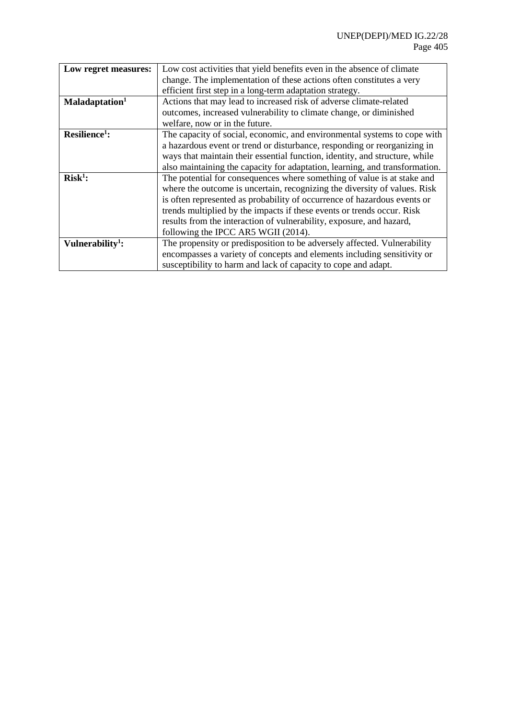| Low regret measures:         | Low cost activities that yield benefits even in the absence of climate      |
|------------------------------|-----------------------------------------------------------------------------|
|                              | change. The implementation of these actions often constitutes a very        |
|                              | efficient first step in a long-term adaptation strategy.                    |
| Maladaptation <sup>1</sup>   | Actions that may lead to increased risk of adverse climate-related          |
|                              | outcomes, increased vulnerability to climate change, or diminished          |
|                              | welfare, now or in the future.                                              |
| $Resilience1$ :              | The capacity of social, economic, and environmental systems to cope with    |
|                              | a hazardous event or trend or disturbance, responding or reorganizing in    |
|                              | ways that maintain their essential function, identity, and structure, while |
|                              | also maintaining the capacity for adaptation, learning, and transformation. |
| $Risk1$ :                    | The potential for consequences where something of value is at stake and     |
|                              | where the outcome is uncertain, recognizing the diversity of values. Risk   |
|                              | is often represented as probability of occurrence of hazardous events or    |
|                              | trends multiplied by the impacts if these events or trends occur. Risk      |
|                              | results from the interaction of vulnerability, exposure, and hazard,        |
|                              | following the IPCC AR5 WGII (2014).                                         |
| Vulnerability <sup>1</sup> : | The propensity or predisposition to be adversely affected. Vulnerability    |
|                              | encompasses a variety of concepts and elements including sensitivity or     |
|                              | susceptibility to harm and lack of capacity to cope and adapt.              |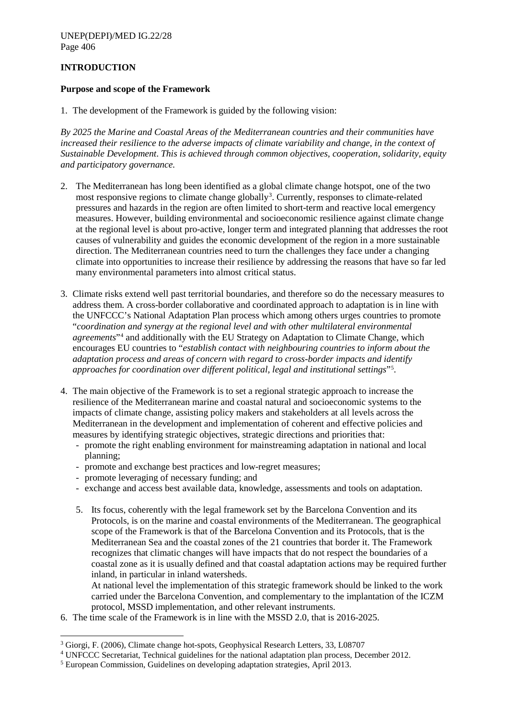# <span id="page-7-0"></span>**INTRODUCTION**

#### <span id="page-7-1"></span>**Purpose and scope of the Framework**

1. The development of the Framework is guided by the following vision:

*By 2025 the Marine and Coastal Areas of the Mediterranean countries and their communities have increased their resilience to the adverse impacts of climate variability and change, in the context of Sustainable Development*. *This is achieved through common objectives, cooperation, solidarity, equity and participatory governance.*

- 2. The Mediterranean has long been identified as a global climate change hotspot, one of the two most responsive regions to climate change globally<sup>[3](#page-7-2)</sup>. Currently, responses to climate-related pressures and hazards in the region are often limited to short-term and reactive local emergency measures. However, building environmental and socioeconomic resilience against climate change at the regional level is about pro-active, longer term and integrated planning that addresses the root causes of vulnerability and guides the economic development of the region in a more sustainable direction. The Mediterranean countries need to turn the challenges they face under a changing climate into opportunities to increase their resilience by addressing the reasons that have so far led many environmental parameters into almost critical status.
- 3. Climate risks extend well past territorial boundaries, and therefore so do the necessary measures to address them. A cross-border collaborative and coordinated approach to adaptation is in line with the UNFCCC's National Adaptation Plan process which among others urges countries to promote "*coordination and synergy at the regional level and with other multilateral environmental agreements*"[4](#page-7-3) and additionally with the EU Strategy on Adaptation to Climate Change, which encourages EU countries to "*establish contact with neighbouring countries to inform about the adaptation process and areas of concern with regard to cross-border impacts and identify approaches for coordination over different political, legal and institutional settings*"[5](#page-7-4) .
- 4. The main objective of the Framework is to set a regional strategic approach to increase the resilience of the Mediterranean marine and coastal natural and socioeconomic systems to the impacts of climate change, assisting policy makers and stakeholders at all levels across the Mediterranean in the development and implementation of coherent and effective policies and measures by identifying strategic objectives, strategic directions and priorities that:
	- promote the right enabling environment for mainstreaming adaptation in national and local planning;
	- promote and exchange best practices and low-regret measures;
	- promote leveraging of necessary funding; and
	- exchange and access best available data, knowledge, assessments and tools on adaptation.
	- 5. Its focus, coherently with the legal framework set by the Barcelona Convention and its Protocols, is on the marine and coastal environments of the Mediterranean. The geographical scope of the Framework is that of the Barcelona Convention and its Protocols, that is the Mediterranean Sea and the coastal zones of the 21 countries that border it. The Framework recognizes that climatic changes will have impacts that do not respect the boundaries of a coastal zone as it is usually defined and that coastal adaptation actions may be required further inland, in particular in inland watersheds.

At national level the implementation of this strategic framework should be linked to the work carried under the Barcelona Convention, and complementary to the implantation of the ICZM protocol, MSSD implementation, and other relevant instruments.

6. The time scale of the Framework is in line with the MSSD 2.0, that is 2016-2025.

<span id="page-7-3"></span><sup>4</sup> UNFCCC Secretariat, Technical guidelines for the national adaptation plan process, December 2012.

<span id="page-7-2"></span> <sup>3</sup> Giorgi, F. (2006), Climate change hot-spots, Geophysical Research Letters, 33, L08707

<span id="page-7-4"></span><sup>5</sup> European Commission, Guidelines on developing adaptation strategies, April 2013.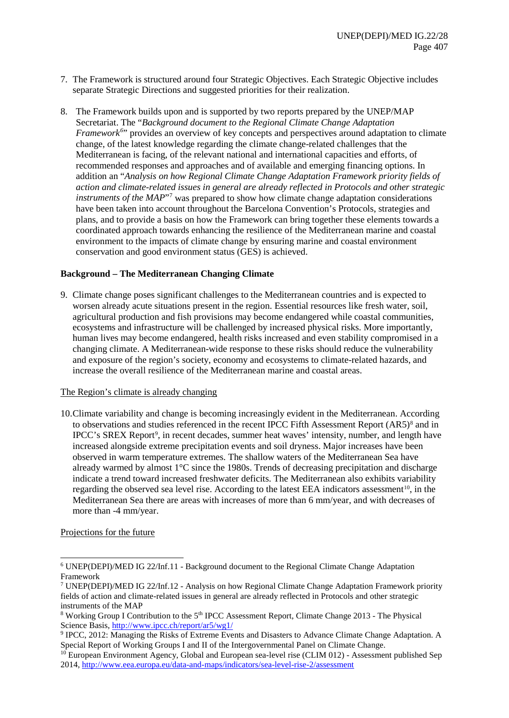- 7. The Framework is structured around four Strategic Objectives. Each Strategic Objective includes separate Strategic Directions and suggested priorities for their realization.
- 8. The Framework builds upon and is supported by two reports prepared by the UNEP/MAP Secretariat. The "*Background document to the Regional Climate Change Adaptation Framework*<sup>[6](#page-8-1)</sup><sup>\*</sup> provides an overview of key concepts and perspectives around adaptation to climate change, of the latest knowledge regarding the climate change-related challenges that the Mediterranean is facing, of the relevant national and international capacities and efforts, of recommended responses and approaches and of available and emerging financing options. In addition an "*Analysis on how Regional Climate Change Adaptation Framework priority fields of action and climate-related issues in general are already reflected in Protocols and other strategic instruments of the MAP*<sup>["7](#page-8-2)</sup> was prepared to show how climate change adaptation considerations have been taken into account throughout the Barcelona Convention's Protocols, strategies and plans, and to provide a basis on how the Framework can bring together these elements towards a coordinated approach towards enhancing the resilience of the Mediterranean marine and coastal environment to the impacts of climate change by ensuring marine and coastal environment conservation and good environment status (GES) is achieved.

#### <span id="page-8-0"></span>**Background – The Mediterranean Changing Climate**

9. Climate change poses significant challenges to the Mediterranean countries and is expected to worsen already acute situations present in the region. Essential resources like fresh water, soil, agricultural production and fish provisions may become endangered while coastal communities, ecosystems and infrastructure will be challenged by increased physical risks. More importantly, human lives may become endangered, health risks increased and even stability compromised in a changing climate. A Mediterranean-wide response to these risks should reduce the vulnerability and exposure of the region's society, economy and ecosystems to climate-related hazards, and increase the overall resilience of the Mediterranean marine and coastal areas.

#### The Region's climate is already changing

10.Climate variability and change is becoming increasingly evident in the Mediterranean. According to observations and studies referenced in the recent IPCC Fifth Assessment Report (AR5)<sup>[8](#page-8-3)</sup> and in IPCC's SREX Report<sup>[9](#page-8-4)</sup>, in recent decades, summer heat waves' intensity, number, and length have increased alongside extreme precipitation events and soil dryness. Major increases have been observed in warm temperature extremes. The shallow waters of the Mediterranean Sea have already warmed by almost 1°C since the 1980s. Trends of decreasing precipitation and discharge indicate a trend toward increased freshwater deficits. The Mediterranean also exhibits variability regarding the observed sea level rise. According to the latest EEA indicators assessment<sup>10</sup>, in the Mediterranean Sea there are areas with increases of more than 6 mm/year, and with decreases of more than -4 mm/year.

#### Projections for the future

<span id="page-8-1"></span> <sup>6</sup> UNEP(DEPI)/MED IG 22/Inf.11 - Background document to the Regional Climate Change Adaptation Framework

<span id="page-8-2"></span><sup>7</sup> UNEP(DEPI)/MED IG 22/Inf.12 - Analysis on how Regional Climate Change Adaptation Framework priority fields of action and climate-related issues in general are already reflected in Protocols and other strategic instruments of the MAP

<span id="page-8-3"></span><sup>&</sup>lt;sup>8</sup> Working Group I Contribution to the 5<sup>th</sup> IPCC Assessment Report, Climate Change 2013 - The Physical Science Basis,<http://www.ipcc.ch/report/ar5/wg1/>

<span id="page-8-4"></span><sup>9</sup> IPCC, 2012: Managing the Risks of Extreme Events and Disasters to Advance Climate Change Adaptation. A Special Report of Working Groups I and II of the Intergovernmental Panel on Climate Change.

<span id="page-8-5"></span><sup>&</sup>lt;sup>10</sup> European Environment Agency, Global and European sea-level rise (CLIM 012) - Assessment published Sep 2014,<http://www.eea.europa.eu/data-and-maps/indicators/sea-level-rise-2/assessment>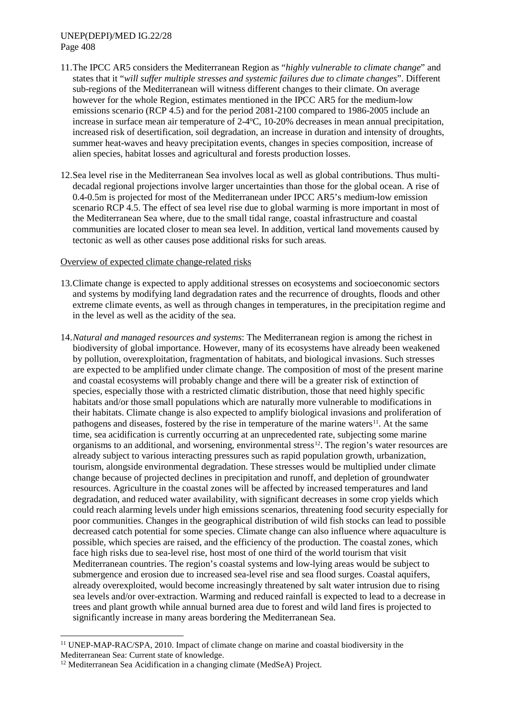#### UNEP(DEPI)/MED IG.22/28 Page 408

- 11.The IPCC AR5 considers the Mediterranean Region as "*highly vulnerable to climate change*" and states that it "*will suffer multiple stresses and systemic failures due to climate changes*". Different sub-regions of the Mediterranean will witness different changes to their climate. On average however for the whole Region, estimates mentioned in the IPCC AR5 for the medium-low emissions scenario (RCP 4.5) and for the period 2081-2100 compared to 1986-2005 include an increase in surface mean air temperature of 2-4°C, 10-20% decreases in mean annual precipitation, increased risk of desertification, soil degradation, an increase in duration and intensity of droughts, summer heat-waves and heavy precipitation events, changes in species composition, increase of alien species, habitat losses and agricultural and forests production losses.
- 12.Sea level rise in the Mediterranean Sea involves local as well as global contributions. Thus multidecadal regional projections involve larger uncertainties than those for the global ocean. A rise of 0.4-0.5m is projected for most of the Mediterranean under IPCC AR5's medium-low emission scenario RCP 4.5. The effect of sea level rise due to global warming is more important in most of the Mediterranean Sea where, due to the small tidal range, coastal infrastructure and coastal communities are located closer to mean sea level. In addition, vertical land movements caused by tectonic as well as other causes pose additional risks for such areas.

#### Overview of expected climate change-related risks

- 13.Climate change is expected to apply additional stresses on ecosystems and socioeconomic sectors and systems by modifying land degradation rates and the recurrence of droughts, floods and other extreme climate events, as well as through changes in temperatures, in the precipitation regime and in the level as well as the acidity of the sea.
- 14.*Natural and managed resources and systems*: The Mediterranean region is among the richest in biodiversity of global importance. However, many of its ecosystems have already been weakened by pollution, overexploitation, fragmentation of habitats, and biological invasions. Such stresses are expected to be amplified under climate change. The composition of most of the present marine and coastal ecosystems will probably change and there will be a greater risk of extinction of species, especially those with a restricted climatic distribution, those that need highly specific habitats and/or those small populations which are naturally more vulnerable to modifications in their habitats. Climate change is also expected to amplify biological invasions and proliferation of pathogens and diseases, fostered by the rise in temperature of the marine waters<sup>[11](#page-9-0)</sup>. At the same time, sea acidification is currently occurring at an unprecedented rate, subjecting some marine organisms to an additional, and worsening, environmental stress<sup>[12](#page-9-1)</sup>. The region's water resources are already subject to various interacting pressures such as rapid population growth, urbanization, tourism, alongside environmental degradation. These stresses would be multiplied under climate change because of projected declines in precipitation and runoff, and depletion of groundwater resources. Agriculture in the coastal zones will be affected by increased temperatures and land degradation, and reduced water availability, with significant decreases in some crop yields which could reach alarming levels under high emissions scenarios, threatening food security especially for poor communities. Changes in the geographical distribution of wild fish stocks can lead to possible decreased catch potential for some species. Climate change can also influence where aquaculture is possible, which species are raised, and the efficiency of the production. The coastal zones, which face high risks due to sea-level rise, host most of one third of the world tourism that visit Mediterranean countries. The region's coastal systems and low-lying areas would be subject to submergence and erosion due to increased sea-level rise and sea flood surges. Coastal aquifers, already overexploited, would become increasingly threatened by salt water intrusion due to rising sea levels and/or over-extraction. Warming and reduced rainfall is expected to lead to a decrease in trees and plant growth while annual burned area due to forest and wild land fires is projected to significantly increase in many areas bordering the Mediterranean Sea.

<span id="page-9-0"></span><sup>&</sup>lt;sup>11</sup> UNEP-MAP-RAC/SPA, 2010. Impact of climate change on marine and coastal biodiversity in the Mediterranean Sea: Current state of knowledge.

<span id="page-9-1"></span><sup>&</sup>lt;sup>12</sup> Mediterranean Sea Acidification in a changing climate (MedSeA) Project.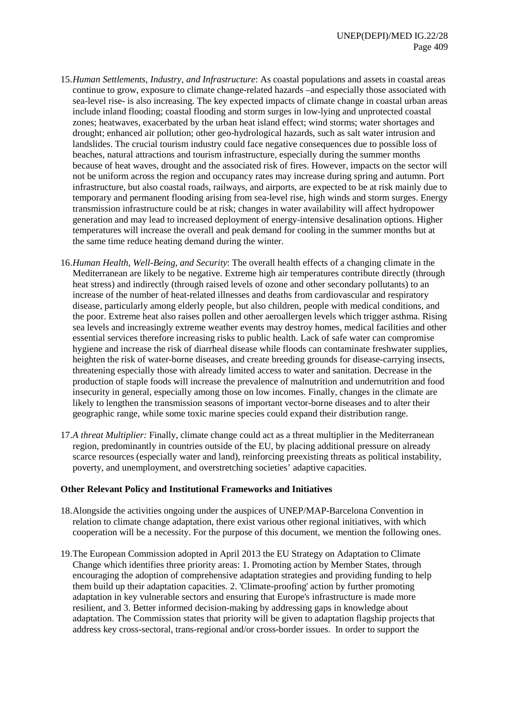- 15.*Human Settlements, Industry, and Infrastructure*: As coastal populations and assets in coastal areas continue to grow, exposure to climate change-related hazards –and especially those associated with sea-level rise- is also increasing. The key expected impacts of climate change in coastal urban areas include inland flooding; coastal flooding and storm surges in low-lying and unprotected coastal zones; heatwaves, exacerbated by the urban heat island effect; wind storms; water shortages and drought; enhanced air pollution; other geo-hydrological hazards, such as salt water intrusion and landslides. The crucial tourism industry could face negative consequences due to possible loss of beaches, natural attractions and tourism infrastructure, especially during the summer months because of heat waves, drought and the associated risk of fires. However, impacts on the sector will not be uniform across the region and occupancy rates may increase during spring and autumn. Port infrastructure, but also coastal roads, railways, and airports, are expected to be at risk mainly due to temporary and permanent flooding arising from sea-level rise, high winds and storm surges. Energy transmission infrastructure could be at risk; changes in water availability will affect hydropower generation and may lead to increased deployment of energy-intensive desalination options. Higher temperatures will increase the overall and peak demand for cooling in the summer months but at the same time reduce heating demand during the winter.
- 16.*Human Health, Well-Being, and Security*: The overall health effects of a changing climate in the Mediterranean are likely to be negative. Extreme high air temperatures contribute directly (through heat stress) and indirectly (through raised levels of ozone and other secondary pollutants) to an increase of the number of heat-related illnesses and deaths from cardiovascular and respiratory disease, particularly among elderly people, but also children, people with medical conditions, and the poor. Extreme heat also raises pollen and other aeroallergen levels which trigger asthma. Rising sea levels and increasingly extreme weather events may destroy homes, medical facilities and other essential services therefore increasing risks to public health. Lack of safe water can compromise hygiene and increase the risk of diarrheal disease while floods can contaminate freshwater supplies, heighten the risk of water-borne diseases, and create breeding grounds for disease-carrying insects, threatening especially those with already limited access to water and sanitation. Decrease in the production of staple foods will increase the prevalence of malnutrition and undernutrition and food insecurity in general, especially among those on low incomes. Finally, changes in the climate are likely to lengthen the transmission seasons of important vector-borne diseases and to alter their geographic range, while some toxic marine species could expand their distribution range.
- 17.*A threat Multiplier:* Finally, climate change could act as a threat multiplier in the Mediterranean region, predominantly in countries outside of the EU, by placing additional pressure on already scarce resources (especially water and land), reinforcing preexisting threats as political instability, poverty, and unemployment, and overstretching societies' adaptive capacities.

#### <span id="page-10-0"></span>**Other Relevant Policy and Institutional Frameworks and Initiatives**

- 18.Alongside the activities ongoing under the auspices of UNEP/MAP-Barcelona Convention in relation to climate change adaptation, there exist various other regional initiatives, with which cooperation will be a necessity. For the purpose of this document, we mention the following ones.
- 19.The European Commission adopted in April 2013 the EU Strategy on Adaptation to Climate Change which identifies three priority areas: 1. Promoting action by Member States, through encouraging the adoption of comprehensive adaptation strategies and providing funding to help them build up their adaptation capacities. 2. 'Climate-proofing' action by further promoting adaptation in key vulnerable sectors and ensuring that Europe's infrastructure is made more resilient, and 3. Better informed decision-making by addressing gaps in knowledge about adaptation. The Commission states that priority will be given to adaptation flagship projects that address key cross-sectoral, trans-regional and/or cross-border issues. In order to support the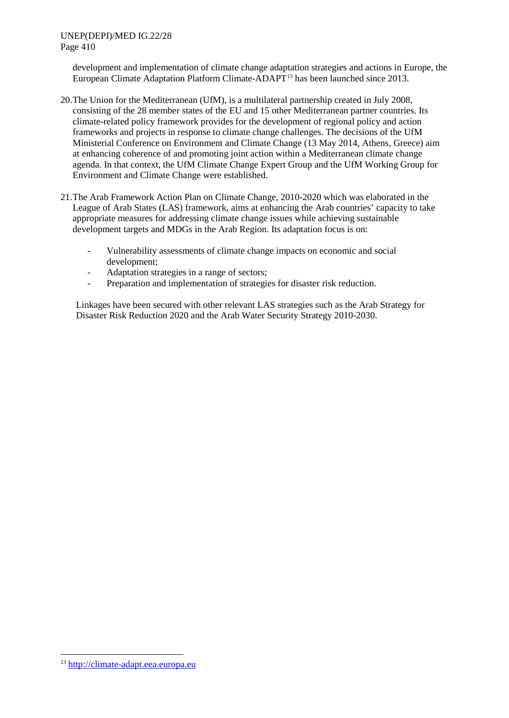development and implementation of climate change adaptation strategies and actions in Europe, the European Climate Adaptation Platform Climate-ADAPT[13](#page-11-0) has been launched since 2013.

- 20.The Union for the Mediterranean (UfM), is a multilateral partnership created in July 2008, consisting of the 28 member states of the EU and 15 other Mediterranean partner countries. Its climate-related policy framework provides for the development of regional policy and action frameworks and projects in response to climate change challenges. The decisions of the UfM Ministerial Conference on Environment and Climate Change (13 May 2014, Athens, Greece) aim at enhancing coherence of and promoting joint action within a Mediterranean climate change agenda. In that context, the UfM Climate Change Expert Group and the UfM Working Group for Environment and Climate Change were established.
- 21.The Arab Framework Action Plan on Climate Change, 2010-2020 which was elaborated in the League of Arab States (LAS) framework, aims at enhancing the Arab countries' capacity to take appropriate measures for addressing climate change issues while achieving sustainable development targets and MDGs in the Arab Region. Its adaptation focus is on:
	- Vulnerability assessments of climate change impacts on economic and social development;
	- Adaptation strategies in a range of sectors;
	- Preparation and implementation of strategies for disaster risk reduction.

Linkages have been secured with other relevant LAS strategies such as the Arab Strategy for Disaster Risk Reduction 2020 and the Arab Water Security Strategy 2010-2030.

<span id="page-11-0"></span> <sup>13</sup> [http://climate-adapt.eea.europa.eu](http://climate-adapt.eea.europa.eu/)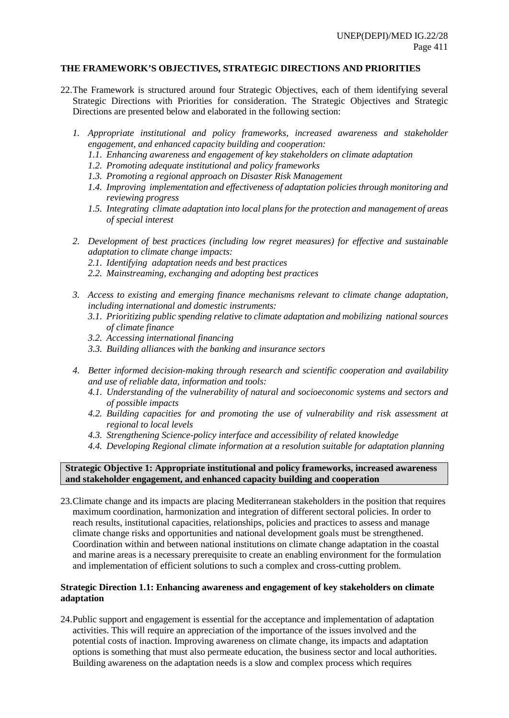#### <span id="page-12-0"></span>**THE FRAMEWORK'S OBJECTIVES, STRATEGIC DIRECTIONS AND PRIORITIES**

- 22.The Framework is structured around four Strategic Objectives, each of them identifying several Strategic Directions with Priorities for consideration. The Strategic Objectives and Strategic Directions are presented below and elaborated in the following section:
	- *1. Appropriate institutional and policy frameworks, increased awareness and stakeholder engagement, and enhanced capacity building and cooperation:*
		- *1.1. Enhancing awareness and engagement of key stakeholders on climate adaptation*
		- *1.2. Promoting adequate institutional and policy frameworks*
		- *1.3. Promoting a regional approach on Disaster Risk Management*
		- *1.4. Improving implementation and effectiveness of adaptation policies through monitoring and reviewing progress*
		- *1.5. Integrating climate adaptation into local plans for the protection and management of areas of special interest*
	- *2. Development of best practices (including low regret measures) for effective and sustainable adaptation to climate change impacts:*
		- *2.1. Identifying adaptation needs and best practices*
		- *2.2. Mainstreaming, exchanging and adopting best practices*
	- *3. Access to existing and emerging finance mechanisms relevant to climate change adaptation, including international and domestic instruments:*
		- *3.1. Prioritizing public spending relative to climate adaptation and mobilizing national sources of climate finance*
		- *3.2. Accessing international financing*
		- *3.3. Building alliances with the banking and insurance sectors*
	- *4. Better informed decision-making through research and scientific cooperation and availability and use of reliable data, information and tools:*
		- *4.1. Understanding of the vulnerability of natural and socioeconomic systems and sectors and of possible impacts*
		- *4.2. Building capacities for and promoting the use of vulnerability and risk assessment at regional to local levels*
		- *4.3. Strengthening Science-policy interface and accessibility of related knowledge*
		- *4.4. Developing Regional climate information at a resolution suitable for adaptation planning*

#### <span id="page-12-1"></span>**Strategic Objective 1: Appropriate institutional and policy frameworks, increased awareness and stakeholder engagement, and enhanced capacity building and cooperation**

23.Climate change and its impacts are placing Mediterranean stakeholders in the position that requires maximum coordination, harmonization and integration of different sectoral policies. In order to reach results, institutional capacities, relationships, policies and practices to assess and manage climate change risks and opportunities and national development goals must be strengthened. Coordination within and between national institutions on climate change adaptation in the coastal and marine areas is a necessary prerequisite to create an enabling environment for the formulation and implementation of efficient solutions to such a complex and cross-cutting problem.

#### **Strategic Direction 1.1: Enhancing awareness and engagement of key stakeholders on climate adaptation**

24.Public support and engagement is essential for the acceptance and implementation of adaptation activities. This will require an appreciation of the importance of the issues involved and the potential costs of inaction. Improving awareness on climate change, its impacts and adaptation options is something that must also permeate education, the business sector and local authorities. Building awareness on the adaptation needs is a slow and complex process which requires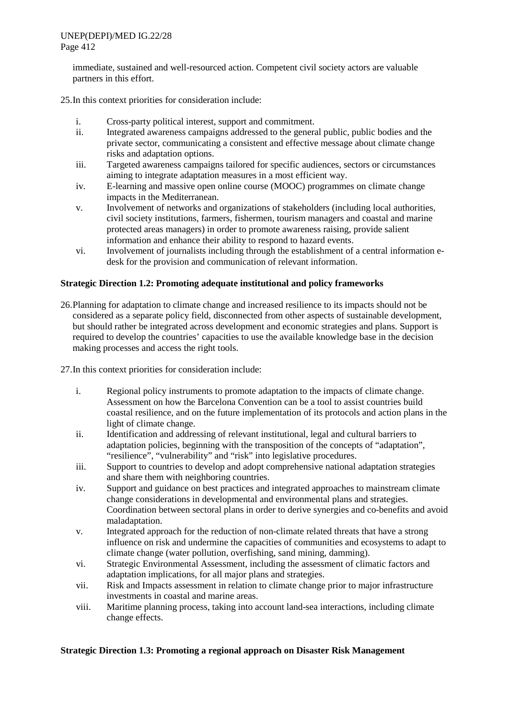immediate, sustained and well-resourced action. Competent civil society actors are valuable partners in this effort.

25.In this context priorities for consideration include:

- i. Cross-party political interest, support and commitment.
- ii. Integrated awareness campaigns addressed to the general public, public bodies and the private sector, communicating a consistent and effective message about climate change risks and adaptation options.
- iii. Targeted awareness campaigns tailored for specific audiences, sectors or circumstances aiming to integrate adaptation measures in a most efficient way.
- iv. E-learning and massive open online course (MOOC) programmes on climate change impacts in the Mediterranean.
- v. Involvement of networks and organizations of stakeholders (including local authorities, civil society institutions, farmers, fishermen, tourism managers and coastal and marine protected areas managers) in order to promote awareness raising, provide salient information and enhance their ability to respond to hazard events.
- vi. Involvement of journalists including through the establishment of a central information edesk for the provision and communication of relevant information.

## **Strategic Direction 1.2: Promoting adequate institutional and policy frameworks**

26.Planning for adaptation to climate change and increased resilience to its impacts should not be considered as a separate policy field, disconnected from other aspects of sustainable development, but should rather be integrated across development and economic strategies and plans. Support is required to develop the countries' capacities to use the available knowledge base in the decision making processes and access the right tools.

27.In this context priorities for consideration include:

- i. Regional policy instruments to promote adaptation to the impacts of climate change. Assessment on how the Barcelona Convention can be a tool to assist countries build coastal resilience, and on the future implementation of its protocols and action plans in the light of climate change.
- ii. Identification and addressing of relevant institutional, legal and cultural barriers to adaptation policies, beginning with the transposition of the concepts of "adaptation", "resilience", "vulnerability" and "risk" into legislative procedures.
- iii. Support to countries to develop and adopt comprehensive national adaptation strategies and share them with neighboring countries.
- iv. Support and guidance on best practices and integrated approaches to mainstream climate change considerations in developmental and environmental plans and strategies. Coordination between sectoral plans in order to derive synergies and co-benefits and avoid maladaptation.
- v. Integrated approach for the reduction of non-climate related threats that have a strong influence on risk and undermine the capacities of communities and ecosystems to adapt to climate change (water pollution, overfishing, sand mining, damming).
- vi. Strategic Environmental Assessment, including the assessment of climatic factors and adaptation implications, for all major plans and strategies.
- vii. Risk and Impacts assessment in relation to climate change prior to major infrastructure investments in coastal and marine areas.
- viii. Maritime planning process, taking into account land-sea interactions, including climate change effects.

#### **Strategic Direction 1.3: Promoting a regional approach on Disaster Risk Management**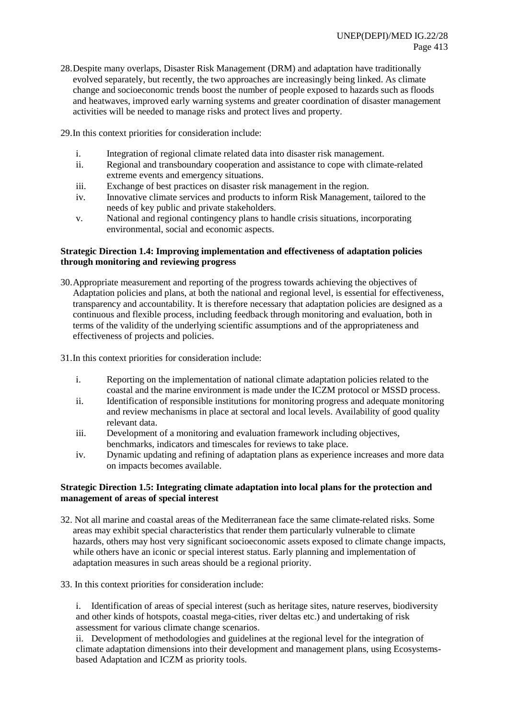- 28.Despite many overlaps, Disaster Risk Management (DRM) and adaptation have traditionally evolved separately, but recently, the two approaches are increasingly being linked. As climate change and socioeconomic trends boost the number of people exposed to hazards such as floods and heatwaves, improved early warning systems and greater coordination of disaster management activities will be needed to manage risks and protect lives and property.
- 29.In this context priorities for consideration include:
	- i. Integration of regional climate related data into disaster risk management.<br>ii. Regional and transboundary cooperation and assistance to cope with clima
	- Regional and transboundary cooperation and assistance to cope with climate-related extreme events and emergency situations.
	- iii. Exchange of best practices on disaster risk management in the region.
	- iv. Innovative climate services and products to inform Risk Management, tailored to the needs of key public and private stakeholders.
	- v. National and regional contingency plans to handle crisis situations, incorporating environmental, social and economic aspects.

## **Strategic Direction 1.4: Improving implementation and effectiveness of adaptation policies through monitoring and reviewing progress**

- 30.Appropriate measurement and reporting of the progress towards achieving the objectives of Adaptation policies and plans, at both the national and regional level, is essential for effectiveness, transparency and accountability. It is therefore necessary that adaptation policies are designed as a continuous and flexible process, including feedback through monitoring and evaluation, both in terms of the validity of the underlying scientific assumptions and of the appropriateness and effectiveness of projects and policies.
- 31.In this context priorities for consideration include:
	- i. Reporting on the implementation of national climate adaptation policies related to the coastal and the marine environment is made under the ICZM protocol or MSSD process.
	- ii. Identification of responsible institutions for monitoring progress and adequate monitoring and review mechanisms in place at sectoral and local levels. Availability of good quality relevant data.
	- iii. Development of a monitoring and evaluation framework including objectives, benchmarks, indicators and timescales for reviews to take place.
	- iv. Dynamic updating and refining of adaptation plans as experience increases and more data on impacts becomes available.

## **Strategic Direction 1.5: Integrating climate adaptation into local plans for the protection and management of areas of special interest**

- 32. Not all marine and coastal areas of the Mediterranean face the same climate-related risks. Some areas may exhibit special characteristics that render them particularly vulnerable to climate hazards, others may host very significant socioeconomic assets exposed to climate change impacts, while others have an iconic or special interest status. Early planning and implementation of adaptation measures in such areas should be a regional priority.
- 33. In this context priorities for consideration include:

i. Identification of areas of special interest (such as heritage sites, nature reserves, biodiversity and other kinds of hotspots, coastal mega-cities, river deltas etc.) and undertaking of risk assessment for various climate change scenarios.

ii. Development of methodologies and guidelines at the regional level for the integration of climate adaptation dimensions into their development and management plans, using Ecosystemsbased Adaptation and ICZM as priority tools.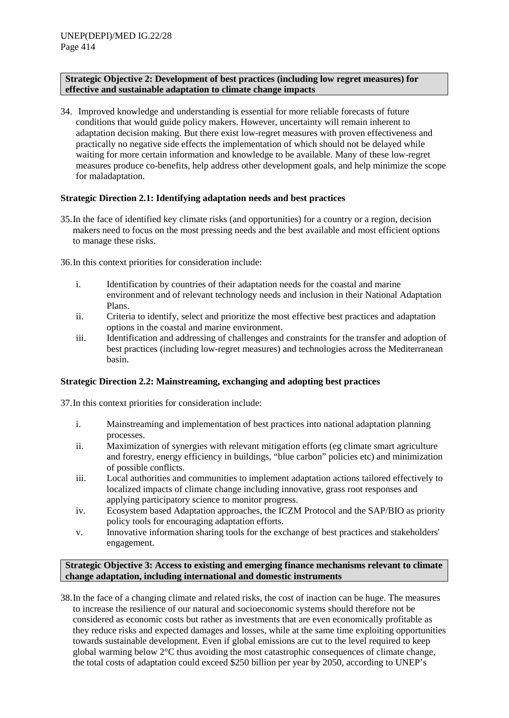#### <span id="page-15-0"></span>**Strategic Objective 2: Development of best practices (including low regret measures) for effective and sustainable adaptation to climate change impacts**

34. Improved knowledge and understanding is essential for more reliable forecasts of future conditions that would guide policy makers. However, uncertainty will remain inherent to adaptation decision making. But there exist low-regret measures with proven effectiveness and practically no negative side effects the implementation of which should not be delayed while waiting for more certain information and knowledge to be available. Many of these low-regret measures produce co-benefits, help address other development goals, and help minimize the scope for maladaptation.

#### **Strategic Direction 2.1: Identifying adaptation needs and best practices**

35.In the face of identified key climate risks (and opportunities) for a country or a region, decision makers need to focus on the most pressing needs and the best available and most efficient options to manage these risks.

36.In this context priorities for consideration include:

- i. Identification by countries of their adaptation needs for the coastal and marine environment and of relevant technology needs and inclusion in their National Adaptation Plans.
- ii. Criteria to identify, select and prioritize the most effective best practices and adaptation options in the coastal and marine environment.
- iii. Identification and addressing of challenges and constraints for the transfer and adoption of best practices (including low-regret measures) and technologies across the Mediterranean basin.

#### **Strategic Direction 2.2: Mainstreaming, exchanging and adopting best practices**

37.In this context priorities for consideration include:

- i. Mainstreaming and implementation of best practices into national adaptation planning processes.
- ii. Maximization of synergies with relevant mitigation efforts (eg climate smart agriculture and forestry, energy efficiency in buildings, "blue carbon" policies etc) and minimization of possible conflicts.
- iii. Local authorities and communities to implement adaptation actions tailored effectively to localized impacts of climate change including innovative, grass root responses and applying participatory science to monitor progress.
- iv. Ecosystem based Adaptation approaches, the ICZM Protocol and the SAP/BIO as priority policy tools for encouraging adaptation efforts.
- v. Innovative information sharing tools for the exchange of best practices and stakeholders' engagement.

## <span id="page-15-1"></span>**Strategic Objective 3: Access to existing and emerging finance mechanisms relevant to climate change adaptation, including international and domestic instruments**

38.In the face of a changing climate and related risks, the cost of inaction can be huge. The measures to increase the resilience of our natural and socioeconomic systems should therefore not be considered as economic costs but rather as investments that are even economically profitable as they reduce risks and expected damages and losses, while at the same time exploiting opportunities towards sustainable development. Even if global emissions are cut to the level required to keep global warming below 2°C thus avoiding the most catastrophic consequences of climate change, the total costs of adaptation could exceed \$250 billion per year by 2050, according to UNEP's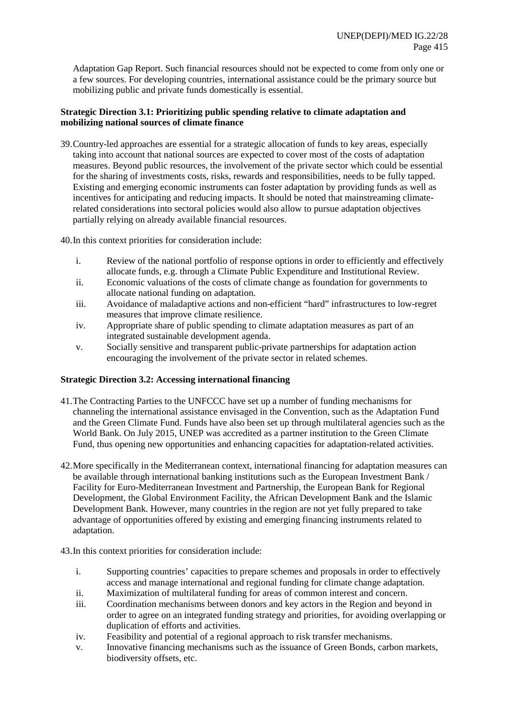Adaptation Gap Report. Such financial resources should not be expected to come from only one or a few sources. For developing countries, international assistance could be the primary source but mobilizing public and private funds domestically is essential.

# **Strategic Direction 3.1: Prioritizing public spending relative to climate adaptation and mobilizing national sources of climate finance**

39.Country-led approaches are essential for a strategic allocation of funds to key areas, especially taking into account that national sources are expected to cover most of the costs of adaptation measures. Beyond public resources, the involvement of the private sector which could be essential for the sharing of investments costs, risks, rewards and responsibilities, needs to be fully tapped. Existing and emerging economic instruments can foster adaptation by providing funds as well as incentives for anticipating and reducing impacts. It should be noted that mainstreaming climaterelated considerations into sectoral policies would also allow to pursue adaptation objectives partially relying on already available financial resources.

40.In this context priorities for consideration include:

- i. Review of the national portfolio of response options in order to efficiently and effectively allocate funds, e.g. through a Climate Public Expenditure and Institutional Review.
- ii. Economic valuations of the costs of climate change as foundation for governments to allocate national funding on adaptation.
- iii. Avoidance of maladaptive actions and non-efficient "hard" infrastructures to low-regret measures that improve climate resilience.
- iv. Appropriate share of public spending to climate adaptation measures as part of an integrated sustainable development agenda.
- v. Socially sensitive and transparent public-private partnerships for adaptation action encouraging the involvement of the private sector in related schemes.

# **Strategic Direction 3.2: Accessing international financing**

- 41.The Contracting Parties to the UNFCCC have set up a number of funding mechanisms for channeling the international assistance envisaged in the Convention, such as the Adaptation Fund and the Green Climate Fund. Funds have also been set up through multilateral agencies such as the World Bank. On July 2015, UNEP was accredited as a partner institution to the Green Climate Fund, thus opening new opportunities and enhancing capacities for adaptation-related activities.
- 42.More specifically in the Mediterranean context, international financing for adaptation measures can be available through international banking institutions such as the European Investment Bank / Facility for Euro-Mediterranean Investment and Partnership, the European Bank for Regional Development, the Global Environment Facility, the African Development Bank and the Islamic Development Bank. However, many countries in the region are not yet fully prepared to take advantage of opportunities offered by existing and emerging financing instruments related to adaptation.

43.In this context priorities for consideration include:

- i. Supporting countries' capacities to prepare schemes and proposals in order to effectively access and manage international and regional funding for climate change adaptation.
- ii. Maximization of multilateral funding for areas of common interest and concern.
- iii. Coordination mechanisms between donors and key actors in the Region and beyond in order to agree on an integrated funding strategy and priorities, for avoiding overlapping or duplication of efforts and activities.
- iv. Feasibility and potential of a regional approach to risk transfer mechanisms.
- v. Innovative financing mechanisms such as the issuance of Green Bonds, carbon markets, biodiversity offsets, etc.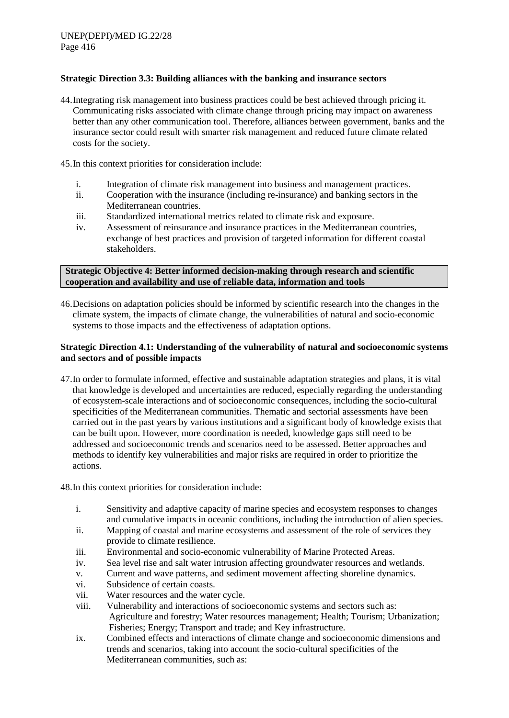## **Strategic Direction 3.3: Building alliances with the banking and insurance sectors**

- 44.Integrating risk management into business practices could be best achieved through pricing it. Communicating risks associated with climate change through pricing may impact on awareness better than any other communication tool. Therefore, alliances between government, banks and the insurance sector could result with smarter risk management and reduced future climate related costs for the society.
- 45.In this context priorities for consideration include:
	- i. Integration of climate risk management into business and management practices.
	- ii. Cooperation with the insurance (including re-insurance) and banking sectors in the Mediterranean countries.
	- iii. Standardized international metrics related to climate risk and exposure.
	- iv. Assessment of reinsurance and insurance practices in the Mediterranean countries, exchange of best practices and provision of targeted information for different coastal stakeholders.

#### <span id="page-17-0"></span>**Strategic Objective 4: Better informed decision-making through research and scientific cooperation and availability and use of reliable data, information and tools**

46.Decisions on adaptation policies should be informed by scientific research into the changes in the climate system, the impacts of climate change, the vulnerabilities of natural and socio-economic systems to those impacts and the effectiveness of adaptation options.

## **Strategic Direction 4.1: Understanding of the vulnerability of natural and socioeconomic systems and sectors and of possible impacts**

- 47.In order to formulate informed, effective and sustainable adaptation strategies and plans, it is vital that knowledge is developed and uncertainties are reduced, especially regarding the understanding of ecosystem-scale interactions and of socioeconomic consequences, including the socio-cultural specificities of the Mediterranean communities. Thematic and sectorial assessments have been carried out in the past years by various institutions and a significant body of knowledge exists that can be built upon. However, more coordination is needed, knowledge gaps still need to be addressed and socioeconomic trends and scenarios need to be assessed. Better approaches and methods to identify key vulnerabilities and major risks are required in order to prioritize the actions.
- 48.In this context priorities for consideration include:
	- i. Sensitivity and adaptive capacity of marine species and ecosystem responses to changes and cumulative impacts in oceanic conditions, including the introduction of alien species.
	- ii. Mapping of coastal and marine ecosystems and assessment of the role of services they provide to climate resilience.
	- iii. Environmental and socio-economic vulnerability of Marine Protected Areas.
	- iv. Sea level rise and salt water intrusion affecting groundwater resources and wetlands.
	- v. Current and wave patterns, and sediment movement affecting shoreline dynamics.
	- vi. Subsidence of certain coasts.
	- vii. Water resources and the water cycle.
	- viii. Vulnerability and interactions of socioeconomic systems and sectors such as: Agriculture and forestry; Water resources management; Health; Tourism; Urbanization; Fisheries; Energy; Transport and trade; and Key infrastructure.
	- ix. Combined effects and interactions of climate change and socioeconomic dimensions and trends and scenarios, taking into account the socio-cultural specificities of the Mediterranean communities, such as: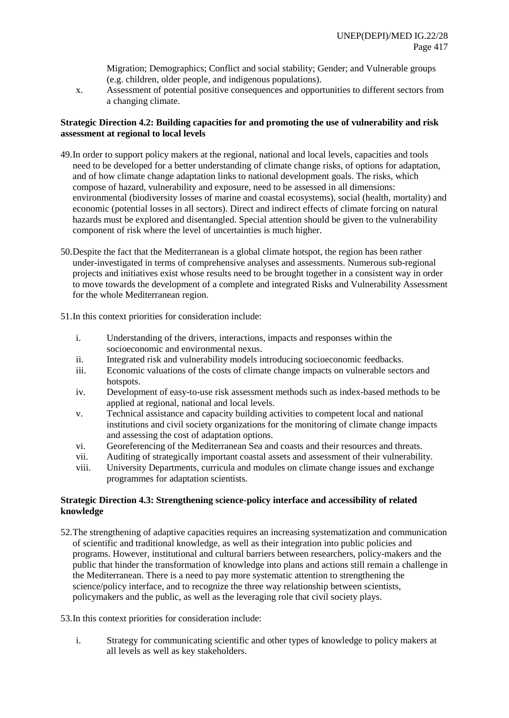Migration; Demographics; Conflict and social stability; Gender; and Vulnerable groups (e.g. children, older people, and indigenous populations).

x. Assessment of potential positive consequences and opportunities to different sectors from a changing climate.

## **Strategic Direction 4.2: Building capacities for and promoting the use of vulnerability and risk assessment at regional to local levels**

- 49.In order to support policy makers at the regional, national and local levels, capacities and tools need to be developed for a better understanding of climate change risks, of options for adaptation, and of how climate change adaptation links to national development goals. The risks, which compose of hazard, vulnerability and exposure, need to be assessed in all dimensions: environmental (biodiversity losses of marine and coastal ecosystems), social (health, mortality) and economic (potential losses in all sectors). Direct and indirect effects of climate forcing on natural hazards must be explored and disentangled. Special attention should be given to the vulnerability component of risk where the level of uncertainties is much higher.
- 50.Despite the fact that the Mediterranean is a global climate hotspot, the region has been rather under-investigated in terms of comprehensive analyses and assessments. Numerous sub-regional projects and initiatives exist whose results need to be brought together in a consistent way in order to move towards the development of a complete and integrated Risks and Vulnerability Assessment for the whole Mediterranean region.

51.In this context priorities for consideration include:

- i. Understanding of the drivers, interactions, impacts and responses within the socioeconomic and environmental nexus.
- ii. Integrated risk and vulnerability models introducing socioeconomic feedbacks.<br>Fermionic valuations of the costs of climate change impacts on vulnerable sector-
- Economic valuations of the costs of climate change impacts on vulnerable sectors and hotspots.
- iv. Development of easy-to-use risk assessment methods such as index-based methods to be applied at regional, national and local levels.
- v. Technical assistance and capacity building activities to competent local and national institutions and civil society organizations for the monitoring of climate change impacts and assessing the cost of adaptation options.
- vi. Georeferencing of the Mediterranean Sea and coasts and their resources and threats.
- vii. Auditing of strategically important coastal assets and assessment of their vulnerability.
- viii. University Departments, curricula and modules on climate change issues and exchange programmes for adaptation scientists.

#### **Strategic Direction 4.3: Strengthening science-policy interface and accessibility of related knowledge**

52.The strengthening of adaptive capacities requires an increasing systematization and communication of scientific and traditional knowledge, as well as their integration into public policies and programs. However, institutional and cultural barriers between researchers, policy-makers and the public that hinder the transformation of knowledge into plans and actions still remain a challenge in the Mediterranean. There is a need to pay more systematic attention to strengthening the science/policy interface, and to recognize the three way relationship between scientists, policymakers and the public, as well as the leveraging role that civil society plays.

53.In this context priorities for consideration include:

i. Strategy for communicating scientific and other types of knowledge to policy makers at all levels as well as key stakeholders.